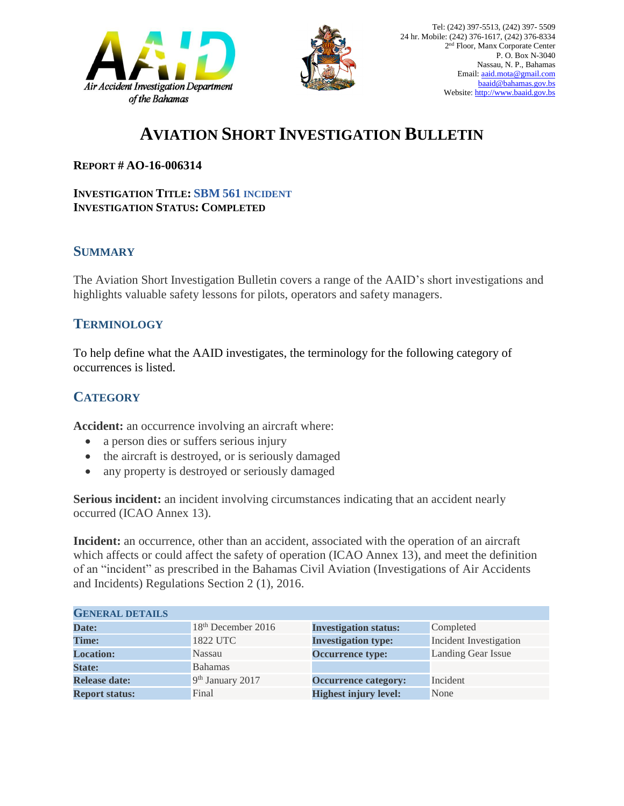



# **AVIATION SHORT INVESTIGATION BULLETIN**

#### **REPORT # AO-16-006314**

#### **INVESTIGATION TITLE: SBM 561 INCIDENT INVESTIGATION STATUS: COMPLETED**

### **SUMMARY**

The Aviation Short Investigation Bulletin covers a range of the AAID's short investigations and highlights valuable safety lessons for pilots, operators and safety managers.

#### **TERMINOLOGY**

To help define what the AAID investigates, the terminology for the following category of occurrences is listed.

## **CATEGORY**

**Accident:** an occurrence involving an aircraft where:

- a person dies or suffers serious injury
- the aircraft is destroyed, or is seriously damaged
- any property is destroyed or seriously damaged

**Serious incident:** an incident involving circumstances indicating that an accident nearly occurred (ICAO Annex 13).

**Incident:** an occurrence, other than an accident, associated with the operation of an aircraft which affects or could affect the safety of operation (ICAO Annex 13), and meet the definition of an "incident" as prescribed in the Bahamas Civil Aviation (Investigations of Air Accidents and Incidents) Regulations Section 2 (1), 2016.

| <b>GENERAL DETAILS</b> |                              |                              |                               |
|------------------------|------------------------------|------------------------------|-------------------------------|
| Date:                  | $18th$ December 2016         | <b>Investigation status:</b> | Completed                     |
| <b>Time:</b>           | 1822 UTC                     | <b>Investigation type:</b>   | <b>Incident Investigation</b> |
| <b>Location:</b>       | <b>Nassau</b>                | <b>Occurrence type:</b>      | Landing Gear Issue            |
| <b>State:</b>          | <b>Bahamas</b>               |                              |                               |
| <b>Release date:</b>   | 9 <sup>th</sup> January 2017 | <b>Occurrence category:</b>  | Incident                      |
| <b>Report status:</b>  | Final                        | <b>Highest injury level:</b> | None                          |